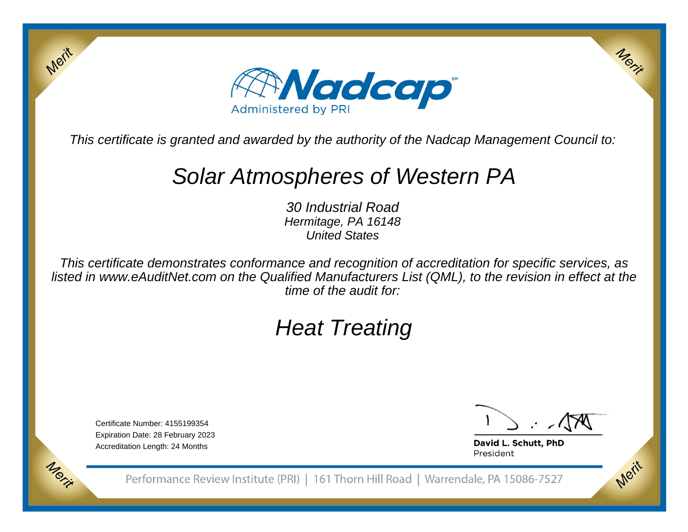

This certificate is granted and awarded by the authority of the Nadcap Management Council to:

## Solar Atmospheres of Western PA

30 Industrial Road Hermitage, PA 16148United States

This certificate demonstrates conformance and recognition of accreditation for specific services, as listed in www.eAuditNet.com on the Qualified Manufacturers List (QML), to the revision in effect at thetime of the audit for:

# Heat Treating

Certificate Number: 4155199354 Expiration Date: 28 February 2023Accreditation Length: 24 Months

Merit

Morie

Merit

Merit

David L. Schutt, PhD President

Performance Review Institute (PRI) | 161 Thorn Hill Road | Warrendale, PA 15086-7527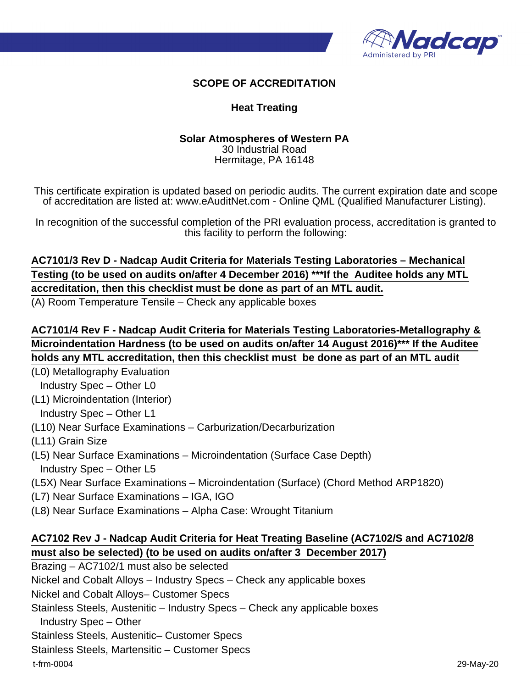

#### **SCOPE OF ACCREDITATION**

#### **Heat Treating**

#### **Solar Atmospheres of Western PA** 30 Industrial Road Hermitage, PA 16148

This certificate expiration is updated based on periodic audits. The current expiration date and scope of accreditation are listed at: www.eAuditNet.com - Online QML (Qualified Manufacturer Listing).

In recognition of the successful completion of the PRI evaluation process, accreditation is granted to this facility to perform the following:

### **AC7101/3 Rev D - Nadcap Audit Criteria for Materials Testing Laboratories – Mechanical Testing (to be used on audits on/after 4 December 2016) \*\*\*If the Auditee holds any MTL accreditation, then this checklist must be done as part of an MTL audit.**

(A) Room Temperature Tensile – Check any applicable boxes

**AC7101/4 Rev F - Nadcap Audit Criteria for Materials Testing Laboratories-Metallography & Microindentation Hardness (to be used on audits on/after 14 August 2016)\*\*\* If the Auditee holds any MTL accreditation, then this checklist must be done as part of an MTL audit**

(L0) Metallography Evaluation

- Industry Spec Other L0
- (L1) Microindentation (Interior)
	- Industry Spec Other L1
- (L10) Near Surface Examinations Carburization/Decarburization
- (L11) Grain Size
- (L5) Near Surface Examinations Microindentation (Surface Case Depth) Industry Spec – Other L5
- (L5X) Near Surface Examinations Microindentation (Surface) (Chord Method ARP1820)
- (L7) Near Surface Examinations IGA, IGO
- (L8) Near Surface Examinations Alpha Case: Wrought Titanium

#### **AC7102 Rev J - Nadcap Audit Criteria for Heat Treating Baseline (AC7102/S and AC7102/8 must also be selected) (to be used on audits on/after 3 December 2017)**

Brazing – AC7102/1 must also be selected

Nickel and Cobalt Alloys – Industry Specs – Check any applicable boxes

Nickel and Cobalt Alloys– Customer Specs

Stainless Steels, Austenitic – Industry Specs – Check any applicable boxes

Industry Spec – Other

Stainless Steels, Austenitic– Customer Specs

Stainless Steels, Martensitic – Customer Specs

t-frm-0004 29-May-20